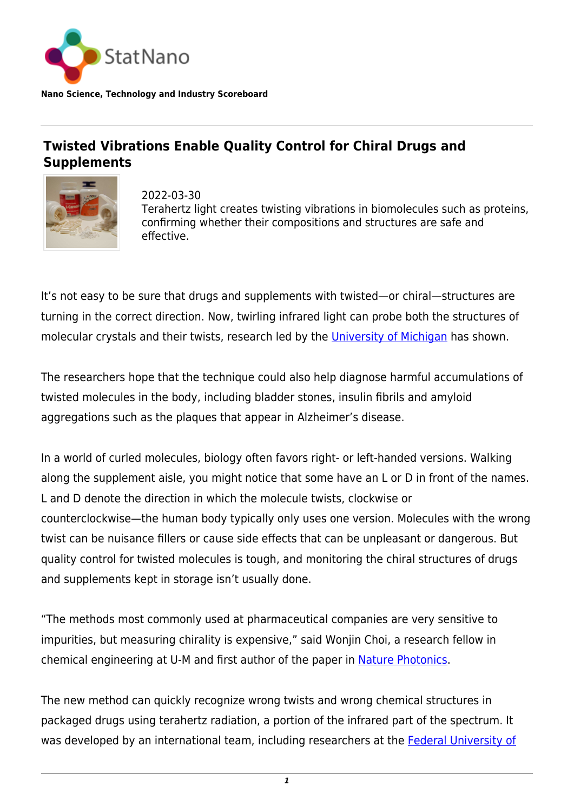

**Nano Science, Technology and Industry Scoreboard**

## **Twisted Vibrations Enable Quality Control for Chiral Drugs and Supplements**



2022-03-30 Terahertz light creates twisting vibrations in biomolecules such as proteins, confirming whether their compositions and structures are safe and effective.

It's not easy to be sure that drugs and supplements with twisted—or chiral—structures are turning in the correct direction. Now, twirling infrared light can probe both the structures of molecular crystals and their twists, research led by the [University of Michigan](https://statnano.com/org/University-of-Michigan) has shown.

The researchers hope that the technique could also help diagnose harmful accumulations of twisted molecules in the body, including bladder stones, insulin fibrils and amyloid aggregations such as the plaques that appear in Alzheimer's disease.

In a world of curled molecules, biology often favors right- or left-handed versions. Walking along the supplement aisle, you might notice that some have an L or D in front of the names. L and D denote the direction in which the molecule twists, clockwise or counterclockwise—the human body typically only uses one version. Molecules with the wrong twist can be nuisance fillers or cause side effects that can be unpleasant or dangerous. But quality control for twisted molecules is tough, and monitoring the chiral structures of drugs and supplements kept in storage isn't usually done.

"The methods most commonly used at pharmaceutical companies are very sensitive to impurities, but measuring chirality is expensive," said Wonjin Choi, a research fellow in chemical engineering at U-M and first author of the paper in [Nature Photonics](https://www.nature.com/articles/s41566-022-00969-1).

The new method can quickly recognize wrong twists and wrong chemical structures in packaged drugs using terahertz radiation, a portion of the infrared part of the spectrum. It was developed by an international team, including researchers at the [Federal University of](https://statnano.com/org/Federal-University-of-S%C3%A3o-Carlos)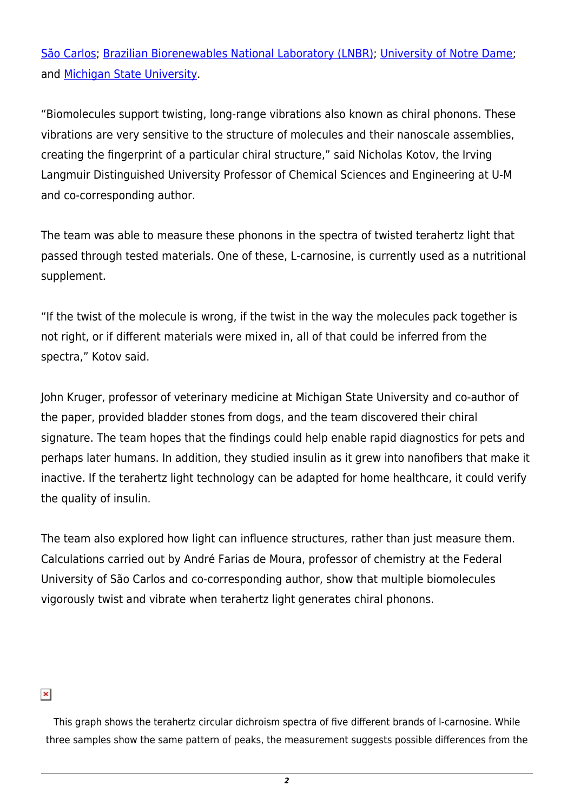[São Carlos;](https://statnano.com/org/Federal-University-of-S%C3%A3o-Carlos) [Brazilian Biorenewables National Laboratory \(LNBR\);](https://lnbr.cnpem.br/) [University of Notre Dame;](https://statnano.com/org/University-of-Notre-Dame) and [Michigan State University.](https://statnano.com/org/Michigan-State-University)

"Biomolecules support twisting, long-range vibrations also known as chiral phonons. These vibrations are very sensitive to the structure of molecules and their nanoscale assemblies, creating the fingerprint of a particular chiral structure," said Nicholas Kotov, the Irving Langmuir Distinguished University Professor of Chemical Sciences and Engineering at U-M and co-corresponding author.

The team was able to measure these phonons in the spectra of twisted terahertz light that passed through tested materials. One of these, L-carnosine, is currently used as a nutritional supplement.

"If the twist of the molecule is wrong, if the twist in the way the molecules pack together is not right, or if different materials were mixed in, all of that could be inferred from the spectra," Kotov said.

John Kruger, professor of veterinary medicine at Michigan State University and co-author of the paper, provided bladder stones from dogs, and the team discovered their chiral signature. The team hopes that the findings could help enable rapid diagnostics for pets and perhaps later humans. In addition, they studied insulin as it grew into nanofibers that make it inactive. If the terahertz light technology can be adapted for home healthcare, it could verify the quality of insulin.

The team also explored how light can influence structures, rather than just measure them. Calculations carried out by André Farias de Moura, professor of chemistry at the Federal University of São Carlos and co-corresponding author, show that multiple biomolecules vigorously twist and vibrate when terahertz light generates chiral phonons.

## $\pmb{\times}$

This graph shows the terahertz circular dichroism spectra of five different brands of l-carnosine. While three samples show the same pattern of peaks, the measurement suggests possible differences from the